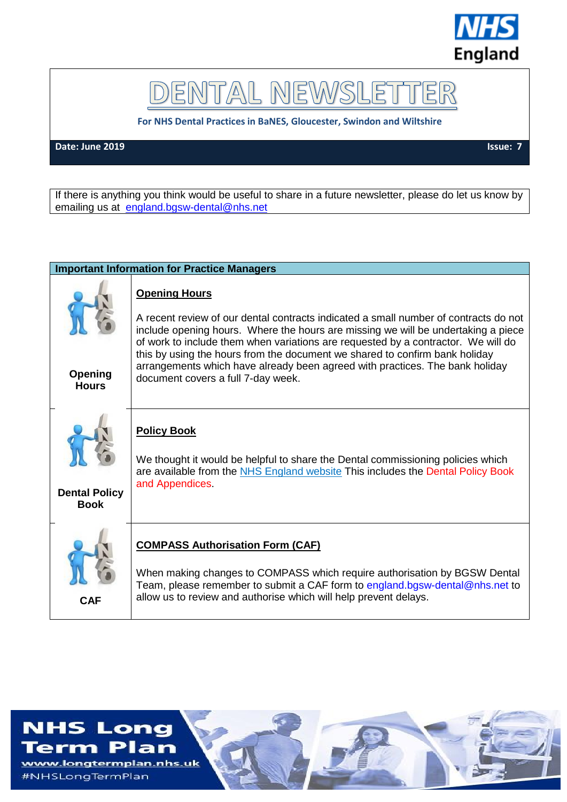

DENTAL NEWSLET ER

**For NHS Dental Practices in BaNES, Gloucester, Swindon and Wiltshire**

**Date: June 2019** Issue: 7

If there is anything you think would be useful to share in a future newsletter, please do let us know by emailing us at [england.bgsw-dental@nhs.net](mailto:england.bgsw-dental@nhs.net)

## **Important Information for Practice Managers**

| <b>Opening</b><br><b>Hours</b>      | <b>Opening Hours</b><br>A recent review of our dental contracts indicated a small number of contracts do not<br>include opening hours. Where the hours are missing we will be undertaking a piece<br>of work to include them when variations are requested by a contractor. We will do<br>this by using the hours from the document we shared to confirm bank holiday<br>arrangements which have already been agreed with practices. The bank holiday<br>document covers a full 7-day week. |
|-------------------------------------|---------------------------------------------------------------------------------------------------------------------------------------------------------------------------------------------------------------------------------------------------------------------------------------------------------------------------------------------------------------------------------------------------------------------------------------------------------------------------------------------|
| <b>Dental Policy</b><br><b>Book</b> | <b>Policy Book</b><br>We thought it would be helpful to share the Dental commissioning policies which<br>are available from the NHS England website This includes the Dental Policy Book<br>and Appendices                                                                                                                                                                                                                                                                                  |
| <b>CAF</b>                          | <b>COMPASS Authorisation Form (CAF)</b><br>When making changes to COMPASS which require authorisation by BGSW Dental<br>Team, please remember to submit a CAF form to england.bgsw-dental@nhs.net to<br>allow us to review and authorise which will help prevent delays.                                                                                                                                                                                                                    |

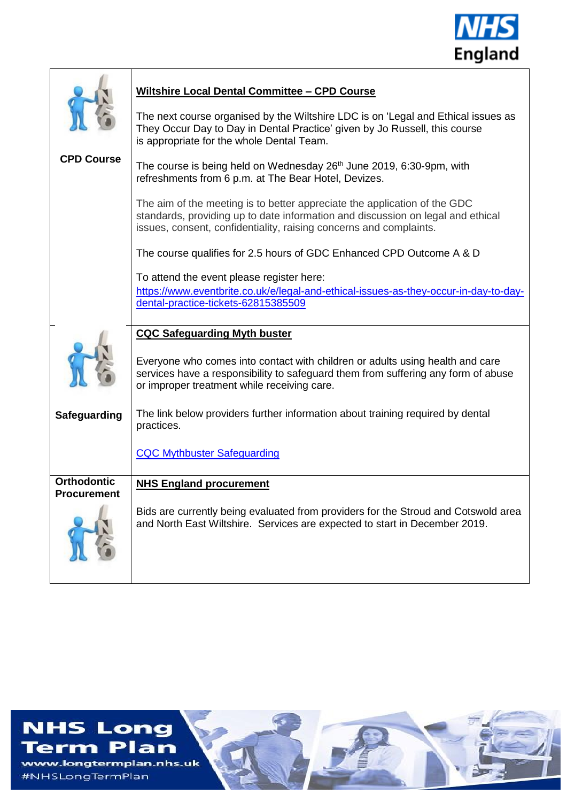

|                                          | <b>Wiltshire Local Dental Committee - CPD Course</b>                                                                                                                                                                               |
|------------------------------------------|------------------------------------------------------------------------------------------------------------------------------------------------------------------------------------------------------------------------------------|
|                                          | The next course organised by the Wiltshire LDC is on 'Legal and Ethical issues as<br>They Occur Day to Day in Dental Practice' given by Jo Russell, this course<br>is appropriate for the whole Dental Team.                       |
| <b>CPD Course</b>                        | The course is being held on Wednesday 26 <sup>th</sup> June 2019, 6:30-9pm, with<br>refreshments from 6 p.m. at The Bear Hotel, Devizes.                                                                                           |
|                                          | The aim of the meeting is to better appreciate the application of the GDC<br>standards, providing up to date information and discussion on legal and ethical<br>issues, consent, confidentiality, raising concerns and complaints. |
|                                          | The course qualifies for 2.5 hours of GDC Enhanced CPD Outcome A & D                                                                                                                                                               |
|                                          | To attend the event please register here:                                                                                                                                                                                          |
|                                          | https://www.eventbrite.co.uk/e/legal-and-ethical-issues-as-they-occur-in-day-to-day-<br>dental-practice-tickets-62815385509                                                                                                        |
|                                          |                                                                                                                                                                                                                                    |
|                                          | <b>CQC Safeguarding Myth buster</b>                                                                                                                                                                                                |
|                                          | Everyone who comes into contact with children or adults using health and care<br>services have a responsibility to safeguard them from suffering any form of abuse<br>or improper treatment while receiving care.                  |
| <b>Safeguarding</b>                      | The link below providers further information about training required by dental<br>practices.                                                                                                                                       |
|                                          | <b>CQC Mythbuster Safeguarding</b>                                                                                                                                                                                                 |
| <b>Orthodontic</b><br><b>Procurement</b> | <b>NHS England procurement</b>                                                                                                                                                                                                     |